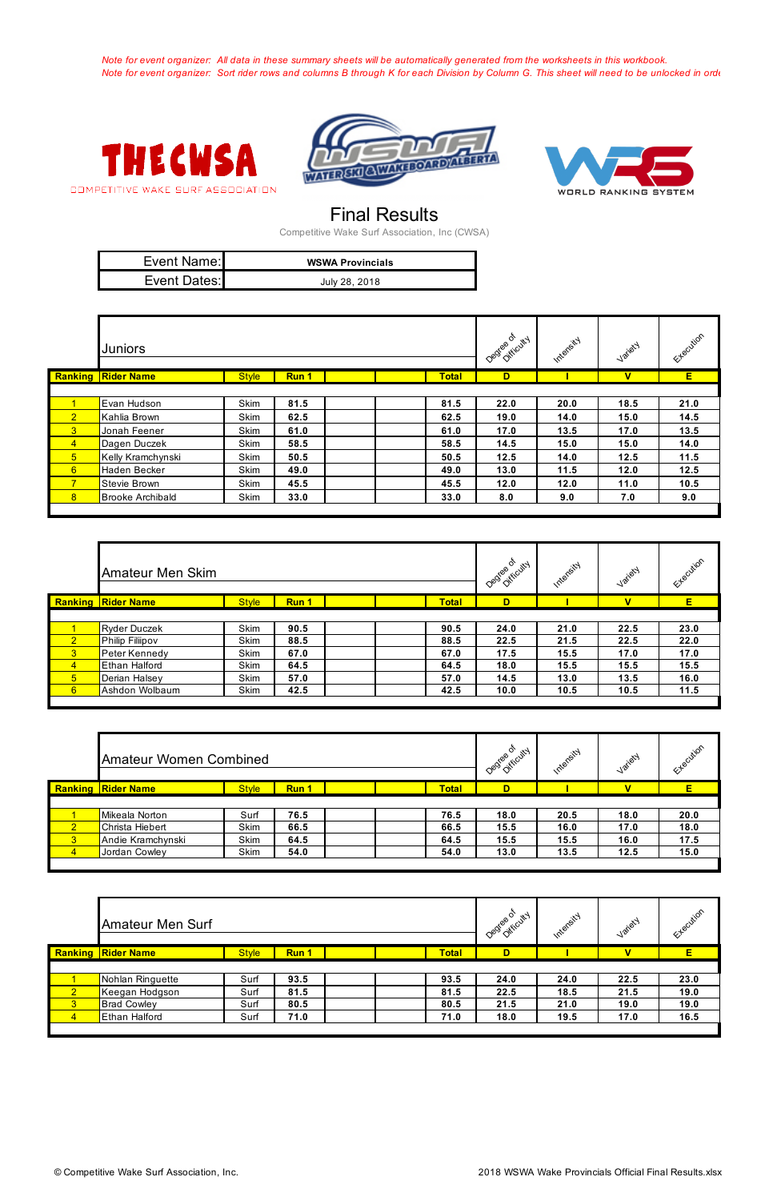*Note for event organizer: All data in these summary sheets will be automatically generated from the worksheets in this workbook. Note for event organizer: Sort rider rows and columns B through K for each Division by Column G. This sheet will need to be unlocked in order to sour to sort, please be mindful that formulas can be accepted.* 







## Final Results

| Event Name:  | <b>WSWA Provincials</b> |
|--------------|-------------------------|
| Event Dates: | July 28, 2018           |

Competitive Wake Surf Association, Inc (CWSA)

|                | <b>Juniors</b>            |              |       |              | Degree of Cutty | Intersity | Jariety                 | Extraction |
|----------------|---------------------------|--------------|-------|--------------|-----------------|-----------|-------------------------|------------|
|                | <b>Ranking Rider Name</b> | <b>Style</b> | Run 1 | <b>Total</b> | D               |           | $\overline{\mathsf{v}}$ | E          |
|                |                           |              |       |              |                 |           |                         |            |
| $\mathbf{1}$   | Evan Hudson               | Skim         | 81.5  | 81.5         | 22.0            | 20.0      | 18.5                    | 21.0       |
| 2 <sup>1</sup> | Kahlia Brown              | Skim         | 62.5  | 62.5         | 19.0            | 14.0      | 15.0                    | 14.5       |
| 3 <sup>7</sup> | Jonah Feener              | Skim         | 61.0  | 61.0         | 17.0            | 13.5      | 17.0                    | 13.5       |
| $\overline{4}$ | Dagen Duczek              | Skim         | 58.5  | 58.5         | 14.5            | 15.0      | 15.0                    | 14.0       |
| 5 <sup>1</sup> | Kelly Kramchynski         | Skim         | 50.5  | 50.5         | 12.5            | 14.0      | 12.5                    | 11.5       |
| 6 <sup>1</sup> | Haden Becker              | Skim         | 49.0  | 49.0         | 13.0            | 11.5      | 12.0                    | 12.5       |
| 7 <sup>7</sup> | Stevie Brown              | Skim         | 45.5  | 45.5         | 12.0            | 12.0      | 11.0                    | 10.5       |
| 8 <sup>1</sup> | <b>Brooke Archibald</b>   | Skim         | 33.0  | 33.0         | 8.0             | 9.0       | 7.0                     | 9.0        |
|                |                           |              |       |              |                 |           |                         |            |

|                 | Amateur Men Skim          |              |       |              | Desige of cutty | Intersity | Jariety     | Etlecution |
|-----------------|---------------------------|--------------|-------|--------------|-----------------|-----------|-------------|------------|
|                 | <b>Ranking Rider Name</b> | <b>Style</b> | Run 1 | <b>Total</b> | D               |           | $\mathbf v$ | E.         |
|                 |                           |              |       |              |                 |           |             |            |
|                 | <b>Ryder Duczek</b>       | Skim         | 90.5  | 90.5         | 24.0            | 21.0      | 22.5        | 23.0       |
| $\overline{2}$  | Philip Filiipov           | Skim         | 88.5  | 88.5         | 22.5            | 21.5      | 22.5        | 22.0       |
| $\overline{3}$  | Peter Kennedy             | Skim         | 67.0  | 67.0         | 17.5            | 15.5      | 17.0        | 17.0       |
| $\overline{4}$  | <b>Ethan Halford</b>      | Skim         | 64.5  | 64.5         | 18.0            | 15.5      | 15.5        | 15.5       |
| $5\overline{)}$ | Derian Halsey             | Skim         | 57.0  | 57.0         | 14.5            | 13.0      | 13.5        | 16.0       |
| 6               | Ashdon Wolbaum            | Skim         | 42.5  | 42.5         | 10.0            | 10.5      | 10.5        | 11.5       |

|                         | <b>Amateur Women Combined</b> |              |       |              |      | Intersity | Jailety                 | Etlecition |
|-------------------------|-------------------------------|--------------|-------|--------------|------|-----------|-------------------------|------------|
|                         | <b>Ranking Rider Name</b>     | <b>Style</b> | Run 1 | <b>Total</b> | D    |           | $\overline{\mathsf{v}}$ | E          |
|                         |                               |              |       |              |      |           |                         |            |
|                         | Mikeala Norton                | Surf         | 76.5  | 76.5         | 18.0 | 20.5      | 18.0                    | 20.0       |
| $\overline{2}$          | Christa Hiebert               | Skim         | 66.5  | 66.5         | 15.5 | 16.0      | 17.0                    | 18.0       |
| $\overline{\mathbf{3}}$ | Andie Kramchynski             | Skim         | 64.5  | 64.5         | 15.5 | 15.5      | 16.0                    | 17.5       |
| $\overline{4}$          | Jordan Cowley                 | Skim         | 54.0  | 54.0         | 13.0 | 13.5      | 12.5                    | 15.0       |
|                         |                               |              |       |              |      |           |                         |            |

|                | <b>Amateur Men Surf</b>   |              |       |              | Degree of tricuty | Internsity | Jariety                 | Etlecution |
|----------------|---------------------------|--------------|-------|--------------|-------------------|------------|-------------------------|------------|
|                | <b>Ranking Rider Name</b> | <b>Style</b> | Run 1 | <b>Total</b> | D                 |            | $\overline{\mathsf{v}}$ | E.         |
|                |                           |              |       |              |                   |            |                         |            |
|                | Nohlan Ringuette          | Surf         | 93.5  | 93.5         | 24.0              | 24.0       | 22.5                    | 23.0       |
| $\overline{2}$ | Keegan Hodgson            | Surf         | 81.5  | 81.5         | 22.5              | 18.5       | 21.5                    | 19.0       |
| 3 <sup>2</sup> | <b>Brad Cowley</b>        | Surf         | 80.5  | 80.5         | 21.5              | 21.0       | 19.0                    | 19.0       |
| $\overline{4}$ | <b>Ethan Halford</b>      | Surf         | 71.0  | 71.0         | 18.0              | 19.5       | 17.0                    | 16.5       |
|                |                           |              |       |              |                   |            |                         |            |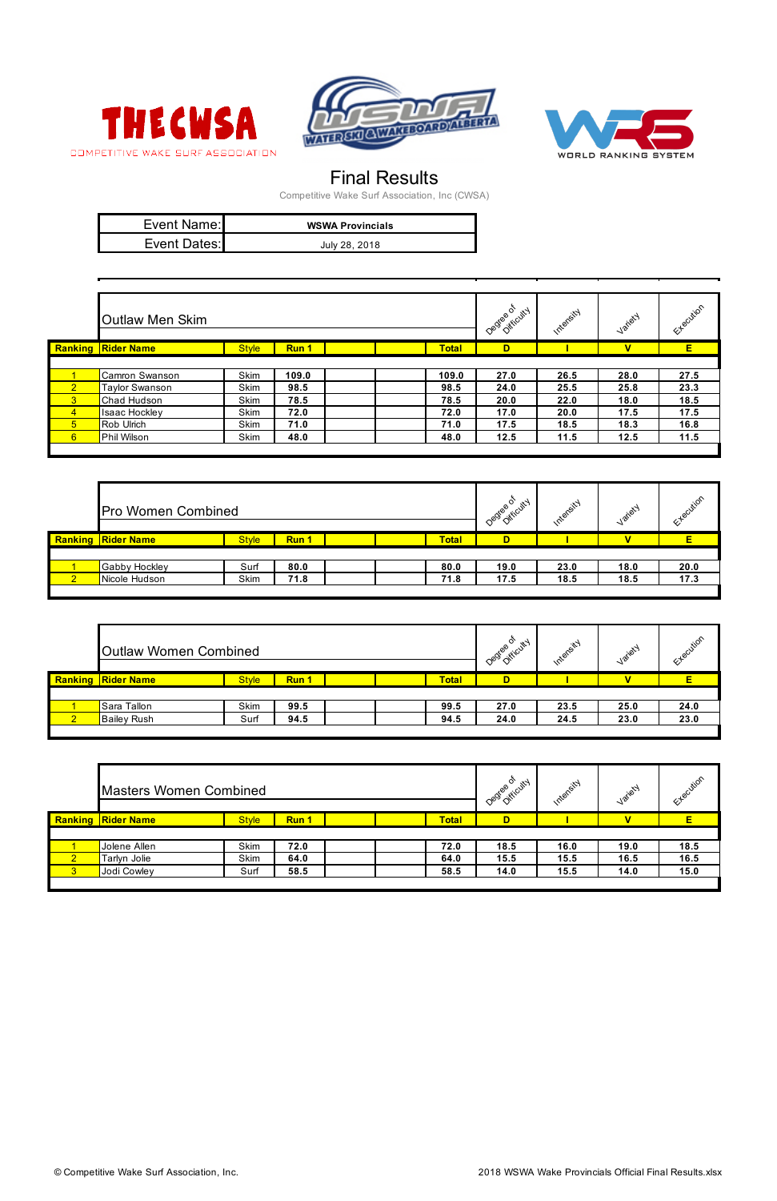





## Final Results

| Event Name:  | <b>WSWA Provincials</b> |
|--------------|-------------------------|
| Event Dates: | July 28, 2018           |

Competitive Wake Surf Association, Inc (CWSA)

|                | <b>Outlaw Men Skim</b>    |              |       |              | Degree of ticuty | Intersty | Jariety | Etlecution |
|----------------|---------------------------|--------------|-------|--------------|------------------|----------|---------|------------|
|                | <b>Ranking Rider Name</b> | <b>Style</b> | Run 1 | <b>Total</b> | D                |          | v       | E.         |
|                |                           |              |       |              |                  |          |         |            |
|                | Camron Swanson            | Skim         | 109.0 | 109.0        | 27.0             | 26.5     | 28.0    | 27.5       |
| $\sqrt{2}$     | Taylor Swanson            | Skim         | 98.5  | 98.5         | 24.0             | 25.5     | 25.8    | 23.3       |
| $\overline{3}$ | Chad Hudson               | Skim         | 78.5  | 78.5         | 20.0             | 22.0     | 18.0    | 18.5       |
| $\overline{4}$ | Isaac Hockley             | Skim         | 72.0  | 72.0         | 17.0             | 20.0     | 17.5    | 17.5       |
| 5 <sup>5</sup> | Rob Ulrich                | Skim         | 71.0  | 71.0         | 17.5             | 18.5     | 18.3    | 16.8       |
| 6              | Phil Wilson               | Skim         | 48.0  | 48.0         | 12.5             | 11.5     | 12.5    | 11.5       |

|                | <b>Pro Women Combined</b> |              |       |              | Degree of<br>Oifficuted | Intensity | Jailety     | Etlecution |
|----------------|---------------------------|--------------|-------|--------------|-------------------------|-----------|-------------|------------|
|                | <b>Ranking Rider Name</b> | <b>Style</b> | Run 1 | <b>Total</b> | D                       |           | $\mathbf v$ |            |
|                |                           |              |       |              |                         |           |             |            |
|                | Gabby Hockley             | Surf         | 80.0  | 80.0         | 19.0                    | 23.0      | 18.0        | 20.0       |
| 2 <sup>1</sup> | Nicole Hudson             | Skim         | 71.8  | 71.8         | 17.5                    | 18.5      | 18.5        | 17.3       |
|                |                           |              |       |              |                         |           |             |            |

|                | <b>Outlaw Women Combined</b> |              |       |              | Destee of cutty | Intersity | Jariety | Ecution |
|----------------|------------------------------|--------------|-------|--------------|-----------------|-----------|---------|---------|
|                | <b>Ranking Rider Name</b>    | <b>Style</b> | Run 1 | <b>Total</b> | D               |           | v       |         |
|                |                              |              |       |              |                 |           |         |         |
|                | Sara Tallon                  | Skim         | 99.5  | 99.5         | 27.0            | 23.5      | 25.0    | 24.0    |
| $\overline{2}$ | <b>Bailey Rush</b>           | Surf         | 94.5  | 94.5         | 24.0            | 24.5      | 23.0    | 23.0    |
|                |                              |              |       |              |                 |           |         |         |

|                | <b>Masters Women Combined</b> |              |       |  |              | Degree of cutty | Intersity | Jariety     | Etlecution |
|----------------|-------------------------------|--------------|-------|--|--------------|-----------------|-----------|-------------|------------|
|                | <b>Ranking   Rider Name</b>   | <b>Style</b> | Run 1 |  | <b>Total</b> | D               |           | $\mathbf v$ | E          |
|                |                               |              |       |  |              |                 |           |             |            |
|                | Jolene Allen                  | Skim         | 72.0  |  | 72.0         | 18.5            | 16.0      | 19.0        | 18.5       |
| $\sqrt{2}$     | Tarlyn Jolie                  | Skim         | 64.0  |  | 64.0         | 15.5            | 15.5      | 16.5        | 16.5       |
| 3 <sup>1</sup> | Jodi Cowley                   | Surf         | 58.5  |  | 58.5         | 14.0            | 15.5      | 14.0        | 15.0       |